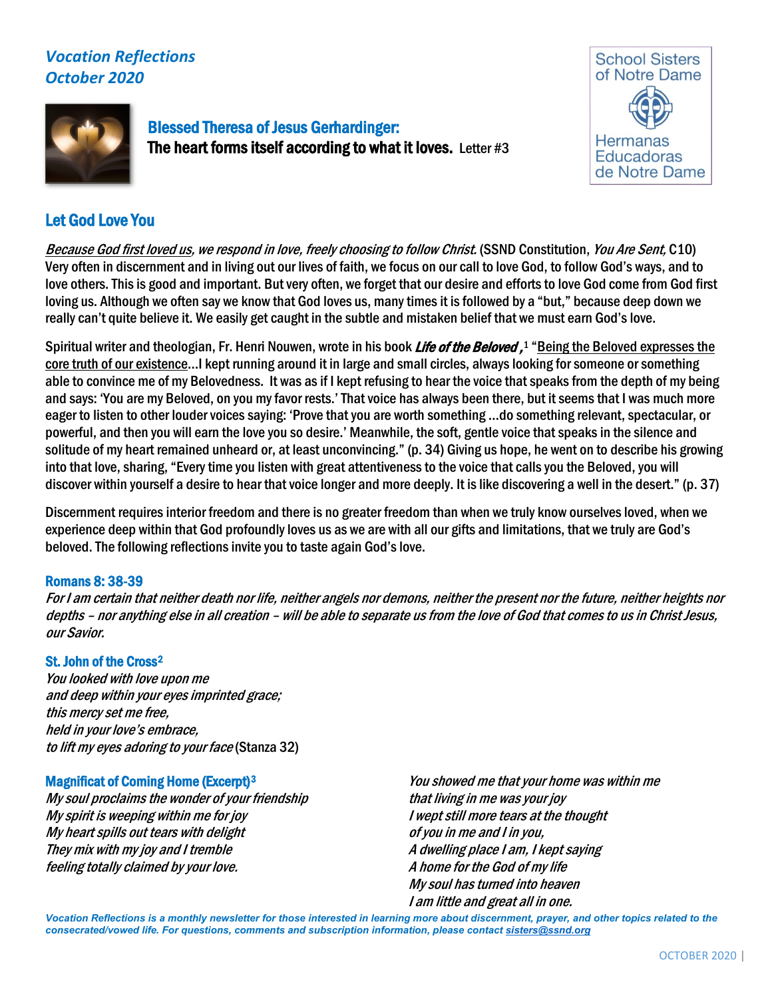# *Vocation Reflections October 2020*



Blessed Theresa of Jesus Gerhardinger: The heart forms itself according to what it loves. Letter #3



## Let God Love You

Because God first loved us, we respond in love, freely choosing to follow Christ. (SSND Constitution, You Are Sent, C10) Very often in discernment and in living out our lives of faith, we focus on our call to love God, to follow God's ways, and to love others. This is good and important. But very often, we forget that our desire and efforts to love God come from God first loving us. Although we often say we know that God loves us, many times it is followed by a "but," because deep down we really can't quite believe it. We easily get caught in the subtle and mistaken belief that we must earn God's love.

Spiritual writer and theologian, Fr. Henri Nouwen, wrote in his book *Life of the Beloved ,* [1](#page-1-0) "<u>Being the Beloved expresses the</u> core truth of our existence…I kept running around it in large and small circles, always looking for someone or something able to convince me of my Belovedness. It was as if I kept refusing to hear the voice that speaks from the depth of my being and says: 'You are my Beloved, on you my favor rests.' That voice has always been there, but it seems that I was much more eager to listen to other louder voices saying: 'Prove that you are worth something …do something relevant, spectacular, or powerful, and then you will earn the love you so desire.' Meanwhile, the soft, gentle voice that speaks in the silence and solitude of my heart remained unheard or, at least unconvincing." (p. 34) Giving us hope, he went on to describe his growing into that love, sharing, "Every time you listen with great attentiveness to the voice that calls you the Beloved, you will discover within yourself a desire to hear that voice longer and more deeply. It is like discovering a well in the desert." (p. 37)

Discernment requires interior freedom and there is no greater freedom than when we truly know ourselves loved, when we experience deep within that God profoundly loves us as we are with all our gifts and limitations, that we truly are God's beloved. The following reflections invite you to taste again God's love.

## Romans 8: 38-39

For I am certain that neither death nor life, neither angels nor demons, neither the present nor the future, neither heights nor depths – nor anything else in all creation – will be able to separate us from the love of God that comes to us in Christ Jesus, our Savior.

## St. John of the Cross[2](#page-1-1)

You looked with love upon me and deep within your eyes imprinted grace; this mercy set me free, held in your love's embrace, to lift my eyes adoring to your face (Stanza 32)

## Magnificat of Coming Home (Excerpt)[3](#page-1-2)

My soul proclaims the wonder of your friendship My spirit is weeping within me for joy My heart spills out tears with delight They mix with my joy and I tremble feeling totally claimed by your love.

You showed me that your home was within me that living in me was your joy I wept still more tears at the thought of you in me and I in you, A dwelling place I am, I kept saying A home for the God of my life My soul has turned into heaven I am little and great all in one.

*Vocation Reflections is a monthly newsletter for those interested in learning more about discernment, prayer, and other topics related to the consecrated/vowed life. For questions, comments and subscription information, please contact sisters@ssnd.org*